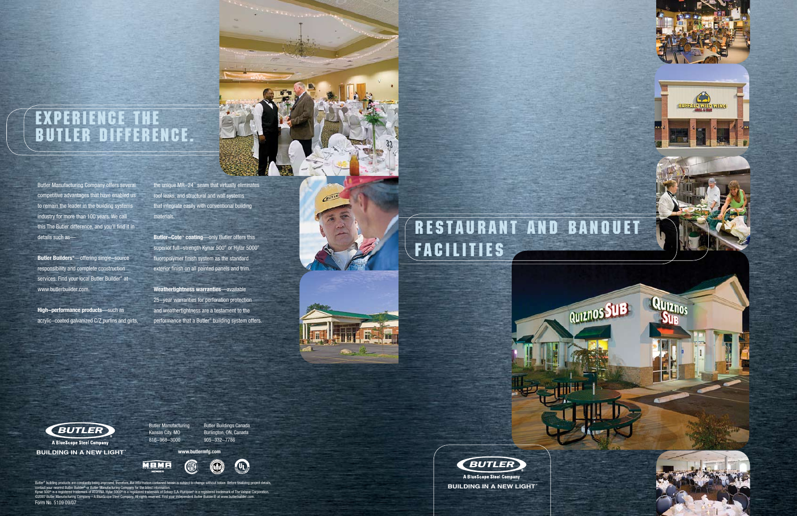### Experience the Butler Difference.

**"5),\$).').!.%7,)'(4 ®**





Butler Manufacturing Company offers several competitive advantages that have enabled us to remain the leader in the building systems industry for more than 100 years. We call this The Butler difference, and you'll find it in details such as—

**Butler Builders®**—offering single-source responsibility and complete construction services. Find your local Butler Builder® at www.butlerbuilder.com.

**High-performance products**—such as acrylic-coated galvanized C/Z purlins and girts,

the unique MR-24™ seam that virtually eliminates roof leaks, and structural and wall systems that integrate easily with conventional building materials.

**Butler-Cote™ coating**—only Butler offers this superior full-strength Kynar 500® or Hylar 5000® fluoropolymer finish system as the standard exterior finish on all painted panels and trim.

**Weathertightness warranties**—available 25-year warranties for perforation protection and weathertightness are a testament to the performance that a Butler® building system offers.



# RESTAURANT AND BANQUET **FACILITIES**



**BUILDING IN A NEW LIGHT®** 

Butler Manufacturing Kansas City, MO 816-968-3000

**www.butlermfg.com**

Butler® building products are constantly being improved; therefore, the information contained herein is subject to change without notice. Before finalizing project details,<br>contact your nearest Butler Builder® or Butler M

Butler Buildings Canada Burlington, ON, Canada 905-332-7786



OT.

**"5),\$).').!.%7,)'(4 ®**

Form No. 5109 09/07